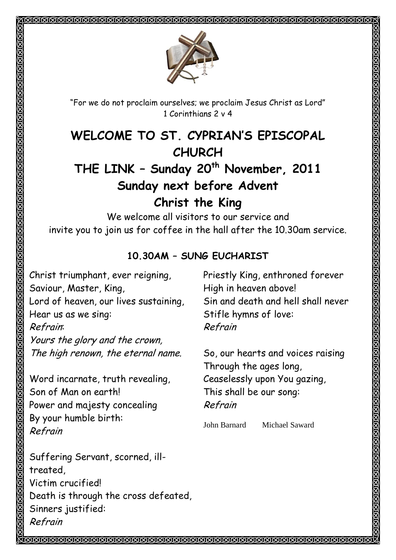"For we do not proclaim ourselves; we proclaim Jesus Christ as Lord" 1 Corinthians 2 v 4

# **WELCOME TO ST. CYPRIAN'S EPISCOPAL CHURCH**

# **THE LINK – Sunday 20th November, 2011 Sunday next before Advent Christ the King**

We welcome all visitors to our service and invite you to join us for coffee in the hall after the 10.30am service.

## **10.30AM – SUNG EUCHARIST**

Christ triumphant, ever reigning, Saviour, Master, King, Lord of heaven, our lives sustaining, Hear us as we sing: Refrain: Yours the glory and the crown, The high renown, the eternal name.

Word incarnate, truth revealing, Son of Man on earth! Power and majesty concealing By your humble birth: Refrain

Suffering Servant, scorned, illtreated, Victim crucified! Death is through the cross defeated, Sinners justified: Refrain

Priestly King, enthroned forever High in heaven above! Sin and death and hell shall never Stifle hymns of love: Refrain

KAMARINAN SERIA KAMARINAN SERIA SERIA SERIA SERIA SERIA

So, our hearts and voices raising Through the ages long, Ceaselessly upon You gazing, This shall be our song: Refrain

John Barnard Michael Saward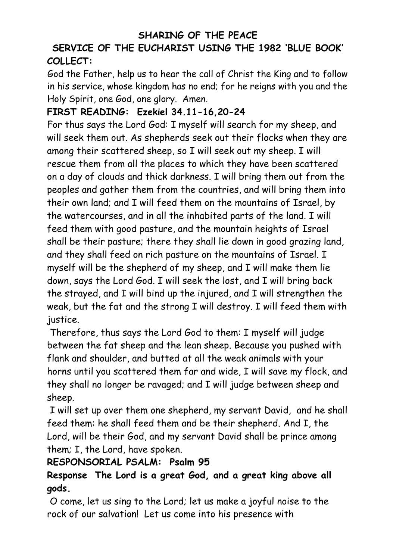#### **SHARING OF THE PEACE**

## **SERVICE OF THE EUCHARIST USING THE 1982 'BLUE BOOK' COLLECT:**

God the Father, help us to hear the call of Christ the King and to follow in his service, whose kingdom has no end; for he reigns with you and the Holy Spirit, one God, one glory. Amen.

#### **FIRST READING: Ezekiel 34.11-16,20-24**

For thus says the Lord God: I myself will search for my sheep, and will seek them out. As shepherds seek out their flocks when they are among their scattered sheep, so I will seek out my sheep. I will rescue them from all the places to which they have been scattered on a day of clouds and thick darkness. I will bring them out from the peoples and gather them from the countries, and will bring them into their own land; and I will feed them on the mountains of Israel, by the watercourses, and in all the inhabited parts of the land. I will feed them with good pasture, and the mountain heights of Israel shall be their pasture; there they shall lie down in good grazing land, and they shall feed on rich pasture on the mountains of Israel. I myself will be the shepherd of my sheep, and I will make them lie down, says the Lord God. I will seek the lost, and I will bring back the strayed, and I will bind up the injured, and I will strengthen the weak, but the fat and the strong I will destroy. I will feed them with justice.

Therefore, thus says the Lord God to them: I myself will judge between the fat sheep and the lean sheep. Because you pushed with flank and shoulder, and butted at all the weak animals with your horns until you scattered them far and wide, I will save my flock, and they shall no longer be ravaged; and I will judge between sheep and sheep.

I will set up over them one shepherd, my servant David, and he shall feed them: he shall feed them and be their shepherd. And I, the Lord, will be their God, and my servant David shall be prince among them; I, the Lord, have spoken.

#### **RESPONSORIAL PSALM: Psalm 95**

**Response The Lord is a great God, and a great king above all gods.**

O come, let us sing to the Lord; let us make a joyful noise to the rock of our salvation! Let us come into his presence with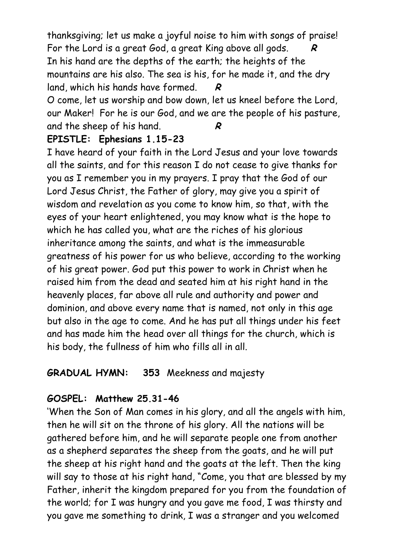thanksgiving; let us make a joyful noise to him with songs of praise! For the Lord is a great God, a great King above all gods. **R** In his hand are the depths of the earth; the heights of the mountains are his also. The sea is his, for he made it, and the dry land, which his hands have formed. **R** 

O come, let us worship and bow down, let us kneel before the Lord, our Maker! For he is our God, and we are the people of his pasture, and the sheep of his hand. **R**

#### **EPISTLE: Ephesians 1.15-23**

I have heard of your faith in the Lord Jesus and your love towards all the saints, and for this reason I do not cease to give thanks for you as I remember you in my prayers. I pray that the God of our Lord Jesus Christ, the Father of glory, may give you a spirit of wisdom and revelation as you come to know him, so that, with the eyes of your heart enlightened, you may know what is the hope to which he has called you, what are the riches of his glorious inheritance among the saints, and what is the immeasurable greatness of his power for us who believe, according to the working of his great power. God put this power to work in Christ when he raised him from the dead and seated him at his right hand in the heavenly places, far above all rule and authority and power and dominion, and above every name that is named, not only in this age but also in the age to come. And he has put all things under his feet and has made him the head over all things for the church, which is his body, the fullness of him who fills all in all.

### **GRADUAL HYMN: 353** Meekness and majesty

### **GOSPEL: Matthew 25.31-46**

'When the Son of Man comes in his glory, and all the angels with him, then he will sit on the throne of his glory. All the nations will be gathered before him, and he will separate people one from another as a shepherd separates the sheep from the goats, and he will put the sheep at his right hand and the goats at the left. Then the king will say to those at his right hand, "Come, you that are blessed by my Father, inherit the kingdom prepared for you from the foundation of the world; for I was hungry and you gave me food, I was thirsty and you gave me something to drink, I was a stranger and you welcomed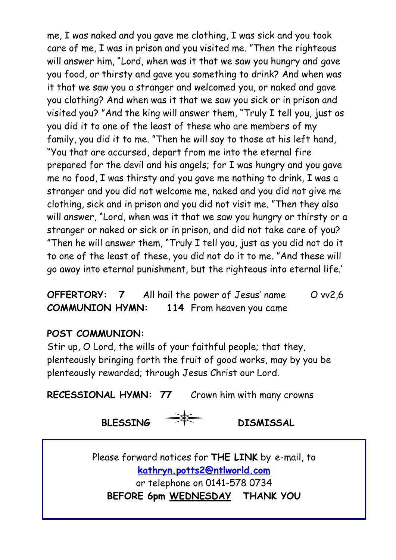me, I was naked and you gave me clothing, I was sick and you took care of me, I was in prison and you visited me. "Then the righteous will answer him, "Lord, when was it that we saw you hungry and gave you food, or thirsty and gave you something to drink? And when was it that we saw you a stranger and welcomed you, or naked and gave you clothing? And when was it that we saw you sick or in prison and visited you? "And the king will answer them, "Truly I tell you, just as you did it to one of the least of these who are members of my family, you did it to me. "Then he will say to those at his left hand, "You that are accursed, depart from me into the eternal fire prepared for the devil and his angels; for I was hungry and you gave me no food, I was thirsty and you gave me nothing to drink, I was a stranger and you did not welcome me, naked and you did not give me clothing, sick and in prison and you did not visit me. "Then they also will answer, "Lord, when was it that we saw you hungry or thirsty or a stranger or naked or sick or in prison, and did not take care of you? "Then he will answer them, "Truly I tell you, just as you did not do it to one of the least of these, you did not do it to me. "And these will go away into eternal punishment, but the righteous into eternal life.'

**OFFERTORY:** 7 All hail the power of Jesus' name O vv2,6 **COMMUNION HYMN: 114** From heaven you came

#### **POST COMMUNION:**

Stir up, O Lord, the wills of your faithful people; that they, plenteously bringing forth the fruit of good works, may by you be plenteously rewarded; through Jesus Christ our Lord.

**RECESSIONAL HYMN: 77** Crown him with many crowns

**BLESSING** DISMISSAL

Please forward notices for **THE LINK** by e-mail, to **[kathryn.potts2@ntlworld.com](mailto:%20kathryn.potts2@ntlworld.com)**  or telephone on 0141-578 0734 **BEFORE 6pm WEDNESDAY THANK YOU**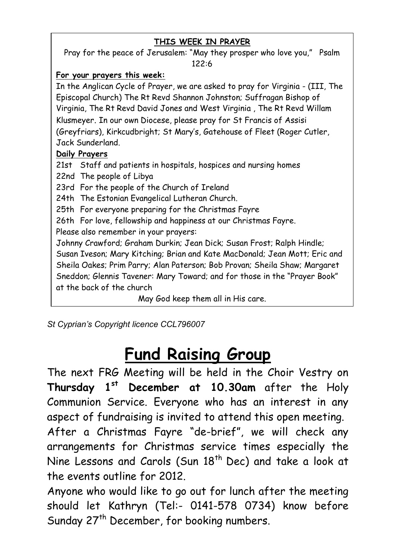#### **THIS WEEK IN PRAYER**

Pray for the peace of Jerusalem: "May they prosper who love you," Psalm 122:6

#### **For your prayers this week:**

In the Anglican Cycle of Prayer, we are asked to pray for Virginia - (III, The Episcopal Church) The Rt Revd Shannon Johnston; Suffragan Bishop of Virginia, The Rt Revd David Jones and West Virginia , The Rt Revd Willam Klusmeyer. In our own Diocese, please pray for St Francis of Assisi (Greyfriars), Kirkcudbright; St Mary's, Gatehouse of Fleet (Roger Cutler, Jack Sunderland.

#### **Daily Prayers**

21st Staff and patients in hospitals, hospices and nursing homes

22nd The people of Libya

23rd For the people of the Church of Ireland

24th The Estonian Evangelical Lutheran Church.

25th For everyone preparing for the Christmas Fayre

26th For love, fellowship and happiness at our Christmas Fayre.

Please also remember in your prayers:

Johnny Crawford; Graham Durkin; Jean Dick; Susan Frost; Ralph Hindle; Susan Iveson; Mary Kitching; Brian and Kate MacDonald; Jean Mott; Eric and Sheila Oakes; Prim Parry; Alan Paterson; Bob Provan; Sheila Shaw; Margaret Sneddon; Glennis Tavener: Mary Toward; and for those in the "Prayer Book" at the back of the church

May God keep them all in His care.

*St Cyprian's Copyright licence CCL796007*

# **Fund Raising Group**

The next FRG Meeting will be held in the Choir Vestry on **Thursday 1st December at 10.30am** after the Holy Communion Service. Everyone who has an interest in any aspect of fundraising is invited to attend this open meeting.

After a Christmas Fayre "de-brief", we will check any arrangements for Christmas service times especially the Nine Lessons and Carols (Sun 18<sup>th</sup> Dec) and take a look at the events outline for 2012.

Anyone who would like to go out for lunch after the meeting should let Kathryn (Tel:- 0141-578 0734) know before Sunday 27<sup>th</sup> December, for booking numbers.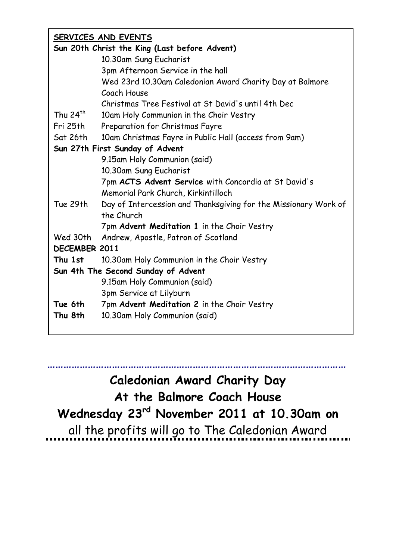| SERVICES AND EVENTS                           |                                                                 |  |  |
|-----------------------------------------------|-----------------------------------------------------------------|--|--|
| Sun 20th Christ the King (Last before Advent) |                                                                 |  |  |
|                                               | 10.30am Sung Eucharist                                          |  |  |
|                                               | 3pm Afternoon Service in the hall                               |  |  |
|                                               | Wed 23rd 10.30am Caledonian Award Charity Day at Balmore        |  |  |
|                                               | Coach House                                                     |  |  |
|                                               | Christmas Tree Festival at St David's until 4th Dec             |  |  |
| Thu $24^{th}$                                 | 10am Holy Communion in the Choir Vestry                         |  |  |
| Fri 25th                                      | Preparation for Christmas Fayre                                 |  |  |
| Sat 26th                                      | 10am Christmas Fayre in Public Hall (access from 9am)           |  |  |
| Sun 27th First Sunday of Advent               |                                                                 |  |  |
|                                               | 9.15am Holy Communion (said)                                    |  |  |
|                                               | 10.30am Sung Eucharist                                          |  |  |
|                                               | 7pm ACTS Advent Service with Concordia at St David's            |  |  |
|                                               | Memorial Park Church, Kirkintilloch                             |  |  |
| Tue 29th                                      | Day of Intercession and Thanksgiving for the Missionary Work of |  |  |
|                                               | the Church                                                      |  |  |
|                                               | 7pm Advent Meditation 1 in the Choir Vestry                     |  |  |
| Wed 30th                                      | Andrew, Apostle, Patron of Scotland                             |  |  |
| DECEMBER 2011                                 |                                                                 |  |  |
| Thu 1st                                       | 10.30am Holy Communion in the Choir Vestry                      |  |  |
| Sun 4th The Second Sunday of Advent           |                                                                 |  |  |
|                                               | 9.15am Holy Communion (said)                                    |  |  |
|                                               | 3pm Service at Lilyburn                                         |  |  |
| Tue 6th                                       | 7pm Advent Meditation 2 in the Choir Vestry                     |  |  |
| Thu 8th                                       | 10.30am Holy Communion (said)                                   |  |  |
|                                               |                                                                 |  |  |
|                                               |                                                                 |  |  |

**………………………………………………………………………………………………… Caledonian Award Charity Day At the Balmore Coach House Wednesday 23rd November 2011 at 10.30am on** all the profits will go to The Caledonian Award